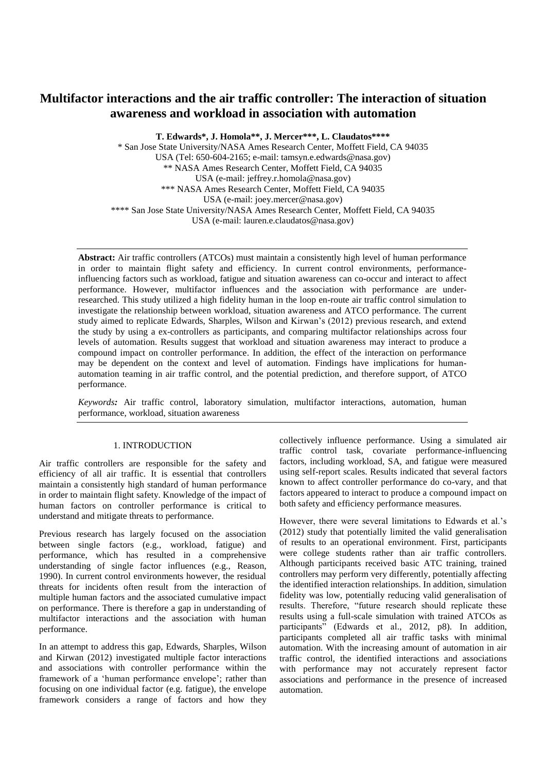# **Multifactor interactions and the air traffic controller: The interaction of situation awareness and workload in association with automation**

**T. Edwards\*, J. Homola\*\*, J. Mercer\*\*\*, L. Claudatos\*\*\*\***

\* San Jose State University/NASA Ames Research Center, Moffett Field, CA 94035 USA (Tel: 650-604-2165; e-mail: tamsyn.e.edwards@nasa.gov) \*\* NASA Ames Research Center, Moffett Field, CA 94035 USA (e-mail[: jeffrey.r.homola@nasa.gov\)](mailto:jeffrey.r.homola@nasa.gov) \*\*\* NASA Ames Research Center, Moffett Field, CA 94035 USA (e-mail: [joey.mercer@nasa.gov\)](mailto:joey.mercer@nasa.gov) \*\*\*\* San Jose State University/NASA Ames Research Center, Moffett Field, CA 94035 USA (e-mail: lauren.e.claudatos@nasa.gov)

**Abstract:** Air traffic controllers (ATCOs) must maintain a consistently high level of human performance in order to maintain flight safety and efficiency. In current control environments, performanceinfluencing factors such as workload, fatigue and situation awareness can co-occur and interact to affect performance. However, multifactor influences and the association with performance are underresearched. This study utilized a high fidelity human in the loop en-route air traffic control simulation to investigate the relationship between workload, situation awareness and ATCO performance. The current study aimed to replicate Edwards, Sharples, Wilson and Kirwan's (2012) previous research, and extend the study by using a ex-controllers as participants, and comparing multifactor relationships across four levels of automation. Results suggest that workload and situation awareness may interact to produce a compound impact on controller performance. In addition, the effect of the interaction on performance may be dependent on the context and level of automation. Findings have implications for humanautomation teaming in air traffic control, and the potential prediction, and therefore support, of ATCO performance.

*Keywords:* Air traffic control, laboratory simulation, multifactor interactions, automation, human performance, workload, situation awareness

# 1. INTRODUCTION

Air traffic controllers are responsible for the safety and efficiency of all air traffic. It is essential that controllers maintain a consistently high standard of human performance in order to maintain flight safety. Knowledge of the impact of human factors on controller performance is critical to understand and mitigate threats to performance.

Previous research has largely focused on the association between single factors (e.g., workload, fatigue) and performance, which has resulted in a comprehensive understanding of single factor influences (e.g., Reason, 1990). In current control environments however, the residual threats for incidents often result from the interaction of multiple human factors and the associated cumulative impact on performance. There is therefore a gap in understanding of multifactor interactions and the association with human performance.

In an attempt to address this gap, Edwards, Sharples, Wilson and Kirwan (2012) investigated multiple factor interactions and associations with controller performance within the framework of a 'human performance envelope'; rather than focusing on one individual factor (e.g. fatigue), the envelope framework considers a range of factors and how they

collectively influence performance. Using a simulated air traffic control task, covariate performance-influencing factors, including workload, SA, and fatigue were measured using self-report scales. Results indicated that several factors known to affect controller performance do co-vary, and that factors appeared to interact to produce a compound impact on both safety and efficiency performance measures.

However, there were several limitations to Edwards et al.'s (2012) study that potentially limited the valid generalisation of results to an operational environment. First, participants were college students rather than air traffic controllers. Although participants received basic ATC training, trained controllers may perform very differently, potentially affecting the identified interaction relationships. In addition, simulation fidelity was low, potentially reducing valid generalisation of results. Therefore, "future research should replicate these results using a full-scale simulation with trained ATCOs as participants" (Edwards et al., 2012, p8). In addition, participants completed all air traffic tasks with minimal automation. With the increasing amount of automation in air traffic control, the identified interactions and associations with performance may not accurately represent factor associations and performance in the presence of increased automation.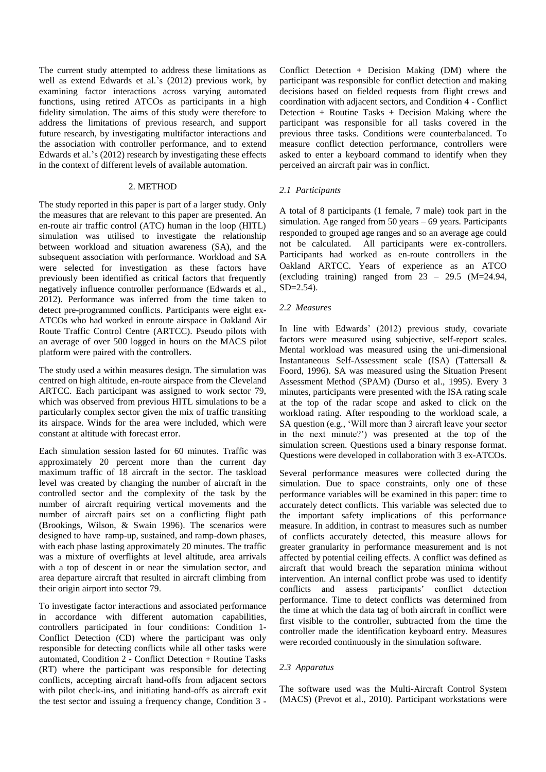The current study attempted to address these limitations as well as extend Edwards et al.'s (2012) previous work, by examining factor interactions across varying automated functions, using retired ATCOs as participants in a high fidelity simulation. The aims of this study were therefore to address the limitations of previous research, and support future research, by investigating multifactor interactions and the association with controller performance, and to extend Edwards et al.'s (2012) research by investigating these effects in the context of different levels of available automation.

# 2. METHOD

The study reported in this paper is part of a larger study. Only the measures that are relevant to this paper are presented. An en-route air traffic control (ATC) human in the loop (HITL) simulation was utilised to investigate the relationship between workload and situation awareness (SA), and the subsequent association with performance. Workload and SA were selected for investigation as these factors have previously been identified as critical factors that frequently negatively influence controller performance (Edwards et al., 2012). Performance was inferred from the time taken to detect pre-programmed conflicts. Participants were eight ex-ATCOs who had worked in enroute airspace in Oakland Air Route Traffic Control Centre (ARTCC). Pseudo pilots with an average of over 500 logged in hours on the MACS pilot platform were paired with the controllers.

The study used a within measures design. The simulation was centred on high altitude, en-route airspace from the Cleveland ARTCC. Each participant was assigned to work sector 79, which was observed from previous HITL simulations to be a particularly complex sector given the mix of traffic transiting its airspace. Winds for the area were included, which were constant at altitude with forecast error.

Each simulation session lasted for 60 minutes. Traffic was approximately 20 percent more than the current day maximum traffic of 18 aircraft in the sector. The taskload level was created by changing the number of aircraft in the controlled sector and the complexity of the task by the number of aircraft requiring vertical movements and the number of aircraft pairs set on a conflicting flight path (Brookings, Wilson, & Swain 1996). The scenarios were designed to have ramp-up, sustained, and ramp-down phases, with each phase lasting approximately 20 minutes. The traffic was a mixture of overflights at level altitude, area arrivals with a top of descent in or near the simulation sector, and area departure aircraft that resulted in aircraft climbing from their origin airport into sector 79.

To investigate factor interactions and associated performance in accordance with different automation capabilities, controllers participated in four conditions: Condition 1- Conflict Detection (CD) where the participant was only responsible for detecting conflicts while all other tasks were automated, Condition 2 - Conflict Detection + Routine Tasks (RT) where the participant was responsible for detecting conflicts, accepting aircraft hand-offs from adjacent sectors with pilot check-ins, and initiating hand-offs as aircraft exit the test sector and issuing a frequency change, Condition 3 -

Conflict Detection + Decision Making (DM) where the participant was responsible for conflict detection and making decisions based on fielded requests from flight crews and coordination with adjacent sectors, and Condition 4 - Conflict Detection + Routine Tasks + Decision Making where the participant was responsible for all tasks covered in the previous three tasks. Conditions were counterbalanced. To measure conflict detection performance, controllers were asked to enter a keyboard command to identify when they perceived an aircraft pair was in conflict.

### *2.1 Participants*

A total of 8 participants (1 female, 7 male) took part in the simulation. Age ranged from 50 years – 69 years. Participants responded to grouped age ranges and so an average age could not be calculated. All participants were ex-controllers. Participants had worked as en-route controllers in the Oakland ARTCC. Years of experience as an ATCO (excluding training) ranged from  $23 - 29.5$  (M=24.94, SD=2.54).

### *2.2 Measures*

In line with Edwards' (2012) previous study, covariate factors were measured using subjective, self-report scales. Mental workload was measured using the uni-dimensional Instantaneous Self-Assessment scale (ISA) (Tattersall & Foord, 1996). SA was measured using the Situation Present Assessment Method (SPAM) (Durso et al., 1995). Every 3 minutes, participants were presented with the ISA rating scale at the top of the radar scope and asked to click on the workload rating. After responding to the workload scale, a SA question (e.g., 'Will more than 3 aircraft leave your sector in the next minute?') was presented at the top of the simulation screen. Questions used a binary response format. Questions were developed in collaboration with 3 ex-ATCOs.

Several performance measures were collected during the simulation. Due to space constraints, only one of these performance variables will be examined in this paper: time to accurately detect conflicts. This variable was selected due to the important safety implications of this performance measure. In addition, in contrast to measures such as number of conflicts accurately detected, this measure allows for greater granularity in performance measurement and is not affected by potential ceiling effects. A conflict was defined as aircraft that would breach the separation minima without intervention. An internal conflict probe was used to identify conflicts and assess participants' conflict detection performance. Time to detect conflicts was determined from the time at which the data tag of both aircraft in conflict were first visible to the controller, subtracted from the time the controller made the identification keyboard entry. Measures were recorded continuously in the simulation software.

#### *2.3 Apparatus*

The software used was the Multi-Aircraft Control System (MACS) (Prevot et al., 2010). Participant workstations were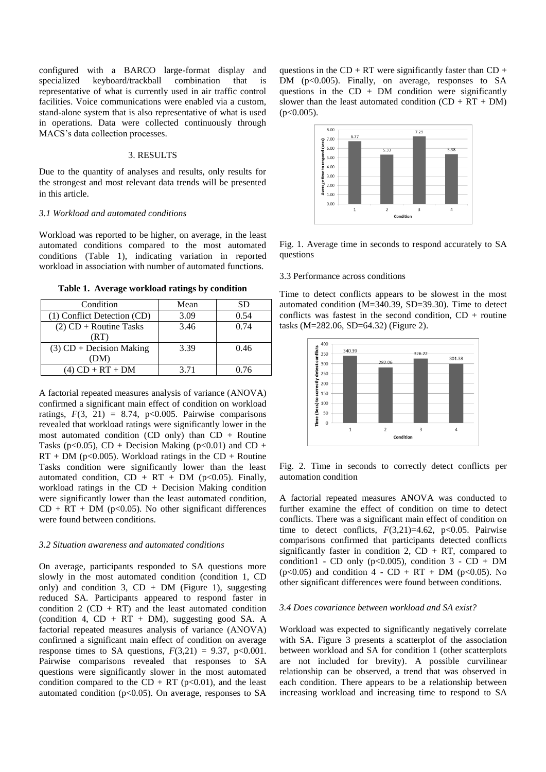configured with a BARCO large-format display and specialized keyboard/trackball combination that is representative of what is currently used in air traffic control facilities. Voice communications were enabled via a custom, stand-alone system that is also representative of what is used in operations. Data were collected continuously through MACS's data collection processes.

#### 3. RESULTS

Due to the quantity of analyses and results, only results for the strongest and most relevant data trends will be presented in this article.

#### *3.1 Workload and automated conditions*

Workload was reported to be higher, on average, in the least automated conditions compared to the most automated conditions (Table 1), indicating variation in reported workload in association with number of automated functions.

**Table 1. Average workload ratings by condition**

| Condition                   | Mean | SD   |
|-----------------------------|------|------|
| (1) Conflict Detection (CD) | 3.09 | 0.54 |
| $(2)$ CD + Routine Tasks    | 3.46 | 0.74 |
| (RT)                        |      |      |
| $(3)$ CD + Decision Making  | 3.39 | 0.46 |
| (DM)                        |      |      |
| $(4)$ CD + RT + DM          | 3.71 | 0.76 |

A factorial repeated measures analysis of variance (ANOVA) confirmed a significant main effect of condition on workload ratings,  $F(3, 21) = 8.74$ ,  $p<0.005$ . Pairwise comparisons revealed that workload ratings were significantly lower in the most automated condition (CD only) than  $CD + R$ outine Tasks (p<0.05), CD + Decision Making (p<0.01) and CD +  $RT + DM$  (p<0.005). Workload ratings in the  $CD + R$ outine Tasks condition were significantly lower than the least automated condition,  $CD + RT + DM$  (p<0.05). Finally, workload ratings in the  $CD + Decision$  Making condition were significantly lower than the least automated condition,  $CD + RT + DM$  (p<0.05). No other significant differences were found between conditions.

#### *3.2 Situation awareness and automated conditions*

On average, participants responded to SA questions more slowly in the most automated condition (condition 1, CD only) and condition 3,  $CD + DM$  (Figure 1), suggesting reduced SA. Participants appeared to respond faster in condition 2 ( $CD + RT$ ) and the least automated condition (condition 4,  $CD + RT + DM$ ), suggesting good SA. A factorial repeated measures analysis of variance (ANOVA) confirmed a significant main effect of condition on average response times to SA questions,  $F(3,21) = 9.37$ ,  $p<0.001$ . Pairwise comparisons revealed that responses to SA questions were significantly slower in the most automated condition compared to the CD + RT ( $p<0.01$ ), and the least automated condition ( $p<0.05$ ). On average, responses to SA

questions in the  $CD + RT$  were significantly faster than  $CD +$ DM (p<0.005). Finally, on average, responses to SA questions in the  $CD + DM$  condition were significantly slower than the least automated condition  $(CD + RT + DM)$  $(p<0.005)$ .



Fig. 1. Average time in seconds to respond accurately to SA questions

# 3.3 Performance across conditions

Time to detect conflicts appears to be slowest in the most automated condition (M=340.39, SD=39.30). Time to detect conflicts was fastest in the second condition,  $CD +$  routine tasks (M=282.06, SD=64.32) (Figure 2).



Fig. 2. Time in seconds to correctly detect conflicts per automation condition

A factorial repeated measures ANOVA was conducted to further examine the effect of condition on time to detect conflicts. There was a significant main effect of condition on time to detect conflicts,  $F(3,21)=4.62$ ,  $p<0.05$ . Pairwise comparisons confirmed that participants detected conflicts significantly faster in condition 2,  $CD + RT$ , compared to condition1 - CD only ( $p<0.005$ ), condition 3 - CD + DM ( $p < 0.05$ ) and condition  $4 - CD + RT + DM$  ( $p < 0.05$ ). No other significant differences were found between conditions.

#### *3.4 Does covariance between workload and SA exist?*

Workload was expected to significantly negatively correlate with SA. Figure 3 presents a scatterplot of the association between workload and SA for condition 1 (other scatterplots are not included for brevity). A possible curvilinear relationship can be observed, a trend that was observed in each condition. There appears to be a relationship between increasing workload and increasing time to respond to SA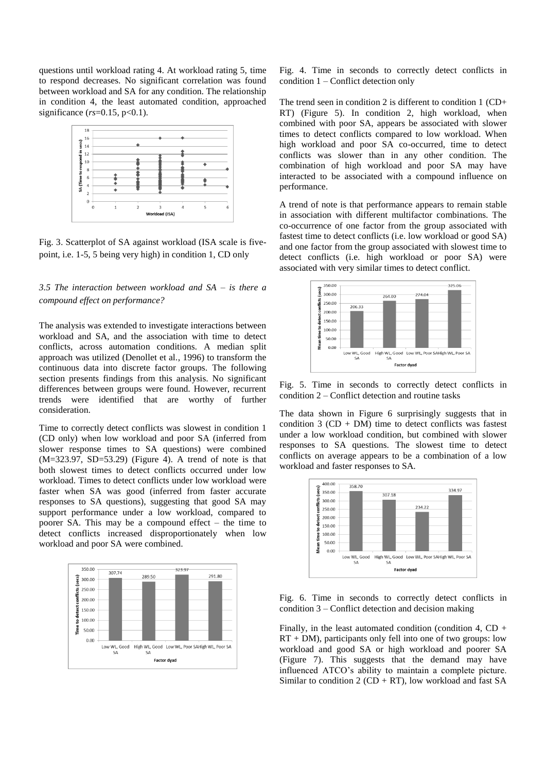questions until workload rating 4. At workload rating 5, time to respond decreases. No significant correlation was found between workload and SA for any condition. The relationship in condition 4, the least automated condition, approached significance  $(rs=0.15, p<0.1)$ .



Fig. 3. Scatterplot of SA against workload (ISA scale is fivepoint, i.e. 1-5, 5 being very high) in condition 1, CD only

# *3.5 The interaction between workload and SA – is there a compound effect on performance?*

The analysis was extended to investigate interactions between workload and SA, and the association with time to detect conflicts, across automation conditions. A median split approach was utilized (Denollet et al., 1996) to transform the continuous data into discrete factor groups. The following section presents findings from this analysis. No significant differences between groups were found. However, recurrent trends were identified that are worthy of further consideration.

Time to correctly detect conflicts was slowest in condition 1 (CD only) when low workload and poor SA (inferred from slower response times to SA questions) were combined  $(M=323.97, SD=53.29)$  (Figure 4). A trend of note is that both slowest times to detect conflicts occurred under low workload. Times to detect conflicts under low workload were faster when SA was good (inferred from faster accurate responses to SA questions), suggesting that good SA may support performance under a low workload, compared to poorer SA. This may be a compound effect – the time to detect conflicts increased disproportionately when low workload and poor SA were combined.



Fig. 4. Time in seconds to correctly detect conflicts in condition 1 – Conflict detection only

The trend seen in condition 2 is different to condition 1 (CD+ RT) (Figure 5). In condition 2, high workload, when combined with poor SA, appears be associated with slower times to detect conflicts compared to low workload. When high workload and poor SA co-occurred, time to detect conflicts was slower than in any other condition. The combination of high workload and poor SA may have interacted to be associated with a compound influence on performance.

A trend of note is that performance appears to remain stable in association with different multifactor combinations. The co-occurrence of one factor from the group associated with fastest time to detect conflicts (i.e. low workload or good SA) and one factor from the group associated with slowest time to detect conflicts (i.e. high workload or poor SA) were associated with very similar times to detect conflict.



Fig. 5. Time in seconds to correctly detect conflicts in condition 2 – Conflict detection and routine tasks

The data shown in Figure 6 surprisingly suggests that in condition  $3$  (CD + DM) time to detect conflicts was fastest under a low workload condition, but combined with slower responses to SA questions. The slowest time to detect conflicts on average appears to be a combination of a low workload and faster responses to SA.



Fig. 6. Time in seconds to correctly detect conflicts in condition 3 – Conflict detection and decision making

Finally, in the least automated condition (condition 4,  $CD +$  $RT + DM$ , participants only fell into one of two groups: low workload and good SA or high workload and poorer SA (Figure 7). This suggests that the demand may have influenced ATCO's ability to maintain a complete picture. Similar to condition 2 ( $CD + RT$ ), low workload and fast SA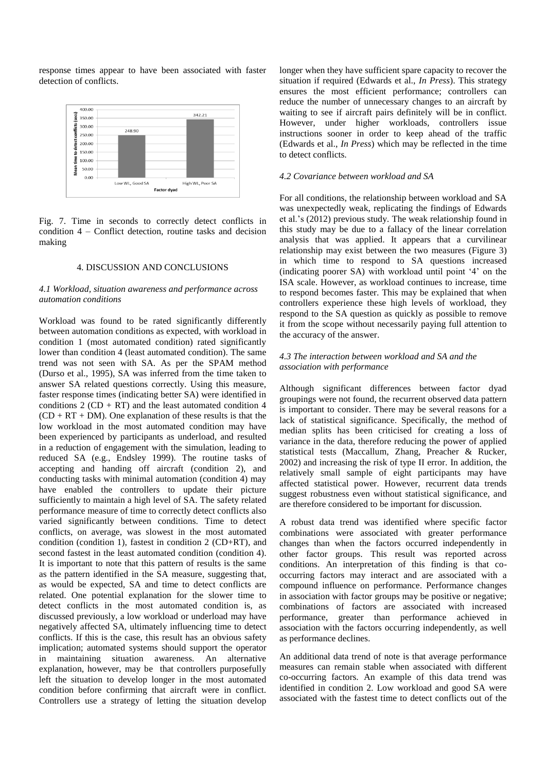response times appear to have been associated with faster detection of conflicts.



Fig. 7. Time in seconds to correctly detect conflicts in condition 4 – Conflict detection, routine tasks and decision making

# 4. DISCUSSION AND CONCLUSIONS

## *4.1 Workload, situation awareness and performance across automation conditions*

Workload was found to be rated significantly differently between automation conditions as expected, with workload in condition 1 (most automated condition) rated significantly lower than condition 4 (least automated condition). The same trend was not seen with SA. As per the SPAM method (Durso et al., 1995), SA was inferred from the time taken to answer SA related questions correctly. Using this measure, faster response times (indicating better SA) were identified in conditions  $2 (CD + RT)$  and the least automated condition 4  $(CD + RT + DM)$ . One explanation of these results is that the low workload in the most automated condition may have been experienced by participants as underload, and resulted in a reduction of engagement with the simulation, leading to reduced SA (e.g., Endsley 1999). The routine tasks of accepting and handing off aircraft (condition 2), and conducting tasks with minimal automation (condition 4) may have enabled the controllers to update their picture sufficiently to maintain a high level of SA. The safety related performance measure of time to correctly detect conflicts also varied significantly between conditions. Time to detect conflicts, on average, was slowest in the most automated condition (condition 1), fastest in condition 2 (CD+RT), and second fastest in the least automated condition (condition 4). It is important to note that this pattern of results is the same as the pattern identified in the SA measure, suggesting that, as would be expected, SA and time to detect conflicts are related. One potential explanation for the slower time to detect conflicts in the most automated condition is, as discussed previously, a low workload or underload may have negatively affected SA, ultimately influencing time to detect conflicts. If this is the case, this result has an obvious safety implication; automated systems should support the operator in maintaining situation awareness. An alternative explanation, however, may be that controllers purposefully left the situation to develop longer in the most automated condition before confirming that aircraft were in conflict. Controllers use a strategy of letting the situation develop

longer when they have sufficient spare capacity to recover the situation if required (Edwards et al., *In Press*). This strategy ensures the most efficient performance; controllers can reduce the number of unnecessary changes to an aircraft by waiting to see if aircraft pairs definitely will be in conflict. However, under higher workloads, controllers issue instructions sooner in order to keep ahead of the traffic (Edwards et al., *In Press*) which may be reflected in the time to detect conflicts.

# *4.2 Covariance between workload and SA*

For all conditions, the relationship between workload and SA was unexpectedly weak, replicating the findings of Edwards et al.'s (2012) previous study. The weak relationship found in this study may be due to a fallacy of the linear correlation analysis that was applied. It appears that a curvilinear relationship may exist between the two measures (Figure 3) in which time to respond to SA questions increased (indicating poorer SA) with workload until point '4' on the ISA scale. However, as workload continues to increase, time to respond becomes faster. This may be explained that when controllers experience these high levels of workload, they respond to the SA question as quickly as possible to remove it from the scope without necessarily paying full attention to the accuracy of the answer.

# *4.3 The interaction between workload and SA and the association with performance*

Although significant differences between factor dyad groupings were not found, the recurrent observed data pattern is important to consider. There may be several reasons for a lack of statistical significance. Specifically, the method of median splits has been criticised for creating a loss of variance in the data, therefore reducing the power of applied statistical tests (Maccallum, Zhang, Preacher & Rucker, 2002) and increasing the risk of type II error. In addition, the relatively small sample of eight participants may have affected statistical power. However, recurrent data trends suggest robustness even without statistical significance, and are therefore considered to be important for discussion.

A robust data trend was identified where specific factor combinations were associated with greater performance changes than when the factors occurred independently in other factor groups. This result was reported across conditions. An interpretation of this finding is that cooccurring factors may interact and are associated with a compound influence on performance. Performance changes in association with factor groups may be positive or negative; combinations of factors are associated with increased performance, greater than performance achieved in association with the factors occurring independently, as well as performance declines.

An additional data trend of note is that average performance measures can remain stable when associated with different co-occurring factors. An example of this data trend was identified in condition 2. Low workload and good SA were associated with the fastest time to detect conflicts out of the